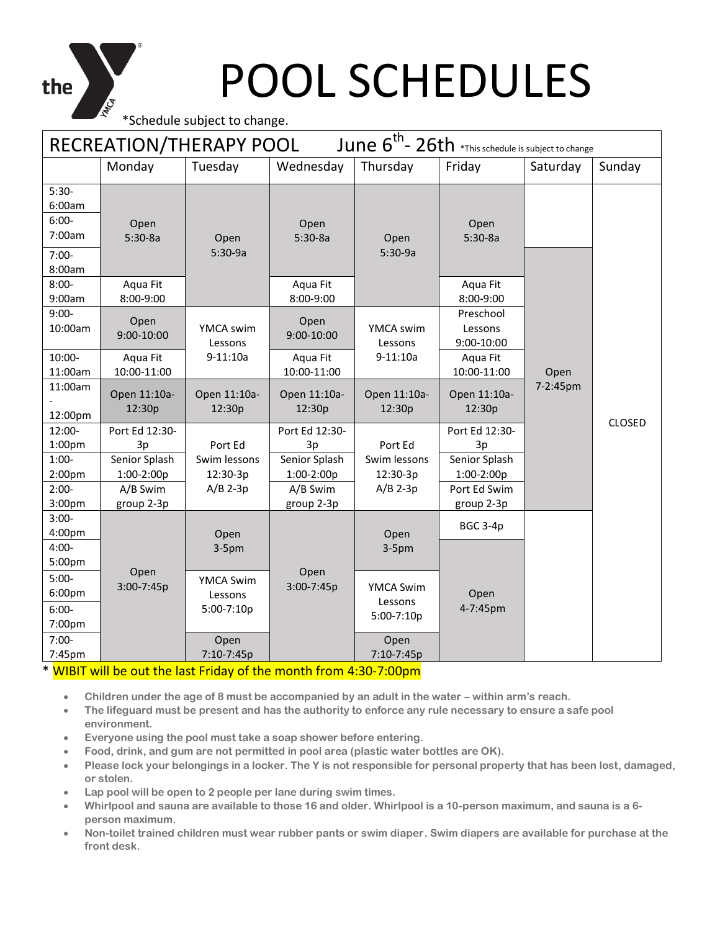\*Schedule subject to change.

the

| June $6^{th}$ - 26th *This schedule is subject to change<br>RECREATION/THERAPY POOL |                             |                                           |                             |                                           |                                    |          |               |  |  |
|-------------------------------------------------------------------------------------|-----------------------------|-------------------------------------------|-----------------------------|-------------------------------------------|------------------------------------|----------|---------------|--|--|
|                                                                                     | Monday                      | Tuesday                                   | Wednesday                   | Thursday                                  | Friday                             | Saturday | Sunday        |  |  |
| $5:30-$<br>6:00am<br>$6:00-$<br>7:00am<br>$7:00-$<br>8:00am                         | Open<br>$5:30-8a$           | Open<br>$5:30-9a$                         | Open<br>$5:30-8a$           | Open<br>$5:30-9a$                         | Open<br>$5:30-8a$                  |          |               |  |  |
| $8:00-$<br>9:00am                                                                   | Aqua Fit<br>8:00-9:00       |                                           | Aqua Fit<br>8:00-9:00       |                                           | Aqua Fit<br>8:00-9:00              |          |               |  |  |
| $9:00-$<br>10:00am                                                                  | Open<br>9:00-10:00          | YMCA swim<br>Lessons                      | Open<br>9:00-10:00          | YMCA swim<br>Lessons                      | Preschool<br>Lessons<br>9:00-10:00 |          |               |  |  |
| 10:00-<br>11:00am                                                                   | Aqua Fit<br>10:00-11:00     | $9-11:10a$                                | Aqua Fit<br>10:00-11:00     | $9-11:10a$                                | Aqua Fit<br>10:00-11:00            | Open     |               |  |  |
| 11:00am<br>12:00pm                                                                  | Open 11:10a-<br>12:30p      | Open 11:10a-<br>12:30p                    | Open 11:10a-<br>12:30p      | Open 11:10a-<br>12:30p                    | Open 11:10a-<br>12:30p             | 7-2:45pm | <b>CLOSED</b> |  |  |
| 12:00-<br>1:00 <sub>pm</sub>                                                        | Port Ed 12:30-<br>3p        | Port Ed                                   | Port Ed 12:30-<br>3p        | Port Ed                                   | Port Ed 12:30-<br>3p               |          |               |  |  |
| $1:00-$<br>2:00 <sub>pm</sub>                                                       | Senior Splash<br>1:00-2:00p | Swim lessons<br>12:30-3p                  | Senior Splash<br>1:00-2:00p | Swim lessons<br>12:30-3p                  | Senior Splash<br>1:00-2:00p        |          |               |  |  |
| $2:00-$<br>3:00pm                                                                   | A/B Swim<br>group 2-3p      | $A/B$ 2-3p                                | A/B Swim<br>group 2-3p      | $A/B$ 2-3p                                | Port Ed Swim<br>group 2-3p         |          |               |  |  |
| $3:00-$<br>4:00pm                                                                   |                             | Open                                      |                             | Open                                      | <b>BGC 3-4p</b>                    |          |               |  |  |
| $4:00 -$<br>5:00pm                                                                  |                             | $3-5pm$                                   |                             | $3-5pm$                                   |                                    |          |               |  |  |
| $5:00-$<br>6:00pm<br>$6:00-$<br>7:00pm                                              | Open<br>3:00-7:45p          | <b>YMCA Swim</b><br>Lessons<br>5:00-7:10p | Open<br>3:00-7:45p          | <b>YMCA Swim</b><br>Lessons<br>5:00-7:10p | Open<br>4-7:45pm                   |          |               |  |  |
| $7:00-$<br>7:45pm                                                                   |                             | Open<br>7:10-7:45p                        |                             | Open<br>7:10-7:45p                        |                                    |          |               |  |  |

#### \* WIBIT will be out the last Friday of the month from 4:30-7:00pm

- **Children under the age of 8 must be accompanied by an adult in the water – within arm's reach.**
- **The lifeguard must be present and has the authority to enforce any rule necessary to ensure a safe pool environment.**
- **Everyone using the pool must take a soap shower before entering.**
- **Food, drink, and gum are not permitted in pool area (plastic water bottles are OK).**
- **Please lock your belongings in a locker. The Y is not responsible for personal property that has been lost, damaged, or stolen.**
- **Lap pool will be open to 2 people per lane during swim times.**
- **Whirlpool and sauna are available to those 16 and older. Whirlpool is a 10-person maximum, and sauna is a 6 person maximum.**
- **Non-toilet trained children must wear rubber pants or swim diaper. Swim diapers are available for purchase at the front desk.**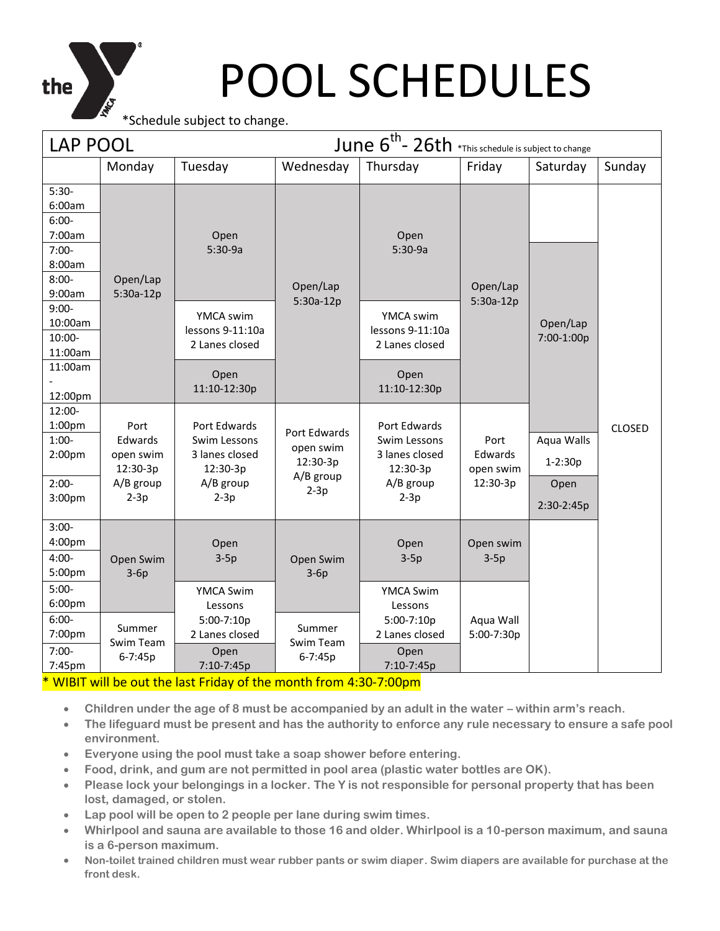

\*Schedule subject to change.

| <b>LAP POOL</b>                                                                                |                                                                 |                                                                                   |                                                              | June 6 <sup>th</sup> - 26th *This schedule is subject to change                   |                                          |                                                 |               |
|------------------------------------------------------------------------------------------------|-----------------------------------------------------------------|-----------------------------------------------------------------------------------|--------------------------------------------------------------|-----------------------------------------------------------------------------------|------------------------------------------|-------------------------------------------------|---------------|
|                                                                                                | Monday                                                          | Tuesday                                                                           | Wednesday                                                    | Thursday                                                                          | Friday                                   | Saturday                                        | Sunday        |
| $5:30-$<br>6:00am<br>$6:00-$<br>7:00am<br>$7:00-$<br>8:00am<br>$8:00-$<br>9:00am               | Open/Lap<br>$5:30a-12p$                                         | Open<br>$5:30-9a$                                                                 | Open/Lap<br>$5:30a-12p$                                      | Open<br>$5:30-9a$                                                                 | Open/Lap<br>5:30a-12p                    |                                                 |               |
| $9:00-$<br>10:00am<br>$10:00 -$<br>11:00am<br>11:00am<br>12:00pm                               |                                                                 | YMCA swim<br>lessons 9-11:10a<br>2 Lanes closed<br>Open<br>11:10-12:30p           |                                                              | YMCA swim<br>lessons 9-11:10a<br>2 Lanes closed<br>Open<br>11:10-12:30p           |                                          | Open/Lap<br>7:00-1:00p                          |               |
| 12:00-<br>1:00 <sub>pm</sub><br>$1:00-$<br>2:00 <sub>pm</sub><br>$2:00-$<br>3:00 <sub>pm</sub> | Port<br>Edwards<br>open swim<br>12:30-3p<br>A/B group<br>$2-3p$ | Port Edwards<br>Swim Lessons<br>3 lanes closed<br>12:30-3p<br>A/B group<br>$2-3p$ | Port Edwards<br>open swim<br>12:30-3p<br>A/B group<br>$2-3p$ | Port Edwards<br>Swim Lessons<br>3 lanes closed<br>12:30-3p<br>A/B group<br>$2-3p$ | Port<br>Edwards<br>open swim<br>12:30-3p | Aqua Walls<br>$1 - 2:30p$<br>Open<br>2:30-2:45p | <b>CLOSED</b> |
| $3:00-$<br>4:00pm<br>$4:00-$<br>5:00pm                                                         | Open Swim<br>$3-6p$                                             | Open<br>$3-5p$                                                                    | Open Swim<br>$3-6p$                                          | Open<br>$3-5p$                                                                    | Open swim<br>$3-5p$                      |                                                 |               |
| $5:00-$<br>6:00 <sub>pm</sub><br>$6:00-$<br>7:00pm<br>$7:00-$<br>7:45pm                        | Summer<br>Swim Team<br>6-7:45p                                  | <b>YMCA Swim</b><br>Lessons<br>5:00-7:10p<br>2 Lanes closed<br>Open<br>7:10-7:45p | Summer<br>Swim Team<br>6-7:45p                               | <b>YMCA Swim</b><br>Lessons<br>5:00-7:10p<br>2 Lanes closed<br>Open<br>7:10-7:45p | Aqua Wall<br>5:00-7:30p                  |                                                 |               |

\* WIBIT will be out the last Friday of the month from 4:30-7:00pm

- Children under the age of 8 must be accompanied by an adult in the water within arm's reach.
- **The lifeguard must be present and has the authority to enforce any rule necessary to ensure a safe pool environment.**
- **Everyone using the pool must take a soap shower before entering.**
- **Food, drink, and gum are not permitted in pool area (plastic water bottles are OK).**
- **Please lock your belongings in a locker. The Y is not responsible for personal property that has been lost, damaged, or stolen.**
- **Lap pool will be open to 2 people per lane during swim times.**
- **Whirlpool and sauna are available to those 16 and older. Whirlpool is a 10-person maximum, and sauna is a 6-person maximum.**
- **Non-toilet trained children must wear rubber pants or swim diaper. Swim diapers are available for purchase at the front desk.**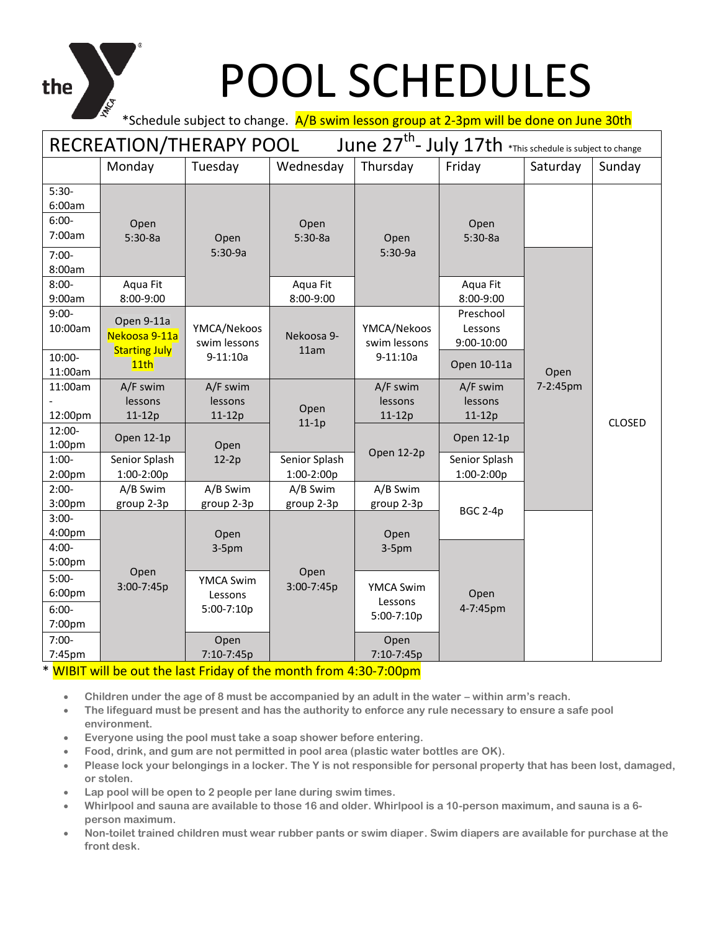# the

### POOL SCHEDULES

\*Schedule subject to change. A/B swim lesson group at 2-3pm will be done on June 30th

| June 27 <sup>th</sup> - July 17th *This schedule is subject to change<br>RECREATION/THERAPY POOL |                                                     |                                           |                             |                                           |                                    |          |               |  |  |
|--------------------------------------------------------------------------------------------------|-----------------------------------------------------|-------------------------------------------|-----------------------------|-------------------------------------------|------------------------------------|----------|---------------|--|--|
|                                                                                                  | Monday                                              | Tuesday                                   | Wednesday                   | Thursday                                  | Friday                             | Saturday | Sunday        |  |  |
| $5:30-$<br>6:00am<br>$6:00-$<br>7:00am<br>$7:00-$<br>8:00am                                      | Open<br>$5:30-8a$                                   | Open<br>$5:30-9a$                         | Open<br>$5:30-8a$           | Open<br>$5:30-9a$                         | Open<br>$5:30-8a$                  |          |               |  |  |
| $8:00 -$<br>9:00am                                                                               | Aqua Fit<br>8:00-9:00                               |                                           | Aqua Fit<br>8:00-9:00       |                                           | Aqua Fit<br>8:00-9:00              |          |               |  |  |
| $9:00-$<br>10:00am                                                                               | Open 9-11a<br>Nekoosa 9-11a<br><b>Starting July</b> | YMCA/Nekoos<br>swim lessons               | Nekoosa 9-<br>11am          | YMCA/Nekoos<br>swim lessons               | Preschool<br>Lessons<br>9:00-10:00 |          |               |  |  |
| 10:00-<br>11:00am                                                                                | 11th                                                | $9-11:10a$                                |                             | $9-11:10a$                                | Open 10-11a                        | Open     |               |  |  |
| 11:00am<br>12:00pm                                                                               | A/F swim<br>lessons<br>11-12p                       | A/F swim<br>lessons<br>11-12p             | Open<br>$11-1p$             | A/F swim<br>lessons<br>$11-12p$           | A/F swim<br>lessons<br>11-12p      | 7-2:45pm | <b>CLOSED</b> |  |  |
| 12:00-<br>1:00pm                                                                                 | Open 12-1p                                          | Open                                      |                             |                                           | Open 12-1p                         |          |               |  |  |
| $1:00-$<br>2:00 <sub>pm</sub>                                                                    | Senior Splash<br>1:00-2:00p                         | $12-2p$                                   | Senior Splash<br>1:00-2:00p | Open 12-2p                                | Senior Splash<br>1:00-2:00p        |          |               |  |  |
| $2:00-$<br>3:00pm                                                                                | A/B Swim<br>group 2-3p                              | A/B Swim<br>group 2-3p                    | A/B Swim<br>group 2-3p      | A/B Swim<br>group 2-3p                    |                                    |          |               |  |  |
| $3:00-$<br>4:00pm                                                                                |                                                     | Open                                      |                             | Open                                      | <b>BGC 2-4p</b>                    |          |               |  |  |
| $4:00 -$<br>5:00pm                                                                               | Open                                                | $3-5pm$                                   | Open                        | $3-5pm$                                   |                                    |          |               |  |  |
| $5:00-$<br>6:00pm<br>$6:00-$<br>7:00pm                                                           | 3:00-7:45p                                          | <b>YMCA Swim</b><br>Lessons<br>5:00-7:10p | $3:00 - 7:45p$              | <b>YMCA Swim</b><br>Lessons<br>5:00-7:10p | Open<br>4-7:45pm                   |          |               |  |  |
| $7:00-$<br>7:45pm                                                                                |                                                     | Open<br>7:10-7:45p                        |                             | Open<br>7:10-7:45p                        |                                    |          |               |  |  |

#### \* WIBIT will be out the last Friday of the month from 4:30-7:00pm

- **Children under the age of 8 must be accompanied by an adult in the water – within arm's reach.**
- **The lifeguard must be present and has the authority to enforce any rule necessary to ensure a safe pool environment.**
- **Everyone using the pool must take a soap shower before entering.**
- **Food, drink, and gum are not permitted in pool area (plastic water bottles are OK).**
- **Please lock your belongings in a locker. The Y is not responsible for personal property that has been lost, damaged, or stolen.**
- **Lap pool will be open to 2 people per lane during swim times.**
- **Whirlpool and sauna are available to those 16 and older. Whirlpool is a 10-person maximum, and sauna is a 6 person maximum.**
- **Non-toilet trained children must wear rubber pants or swim diaper. Swim diapers are available for purchase at the front desk.**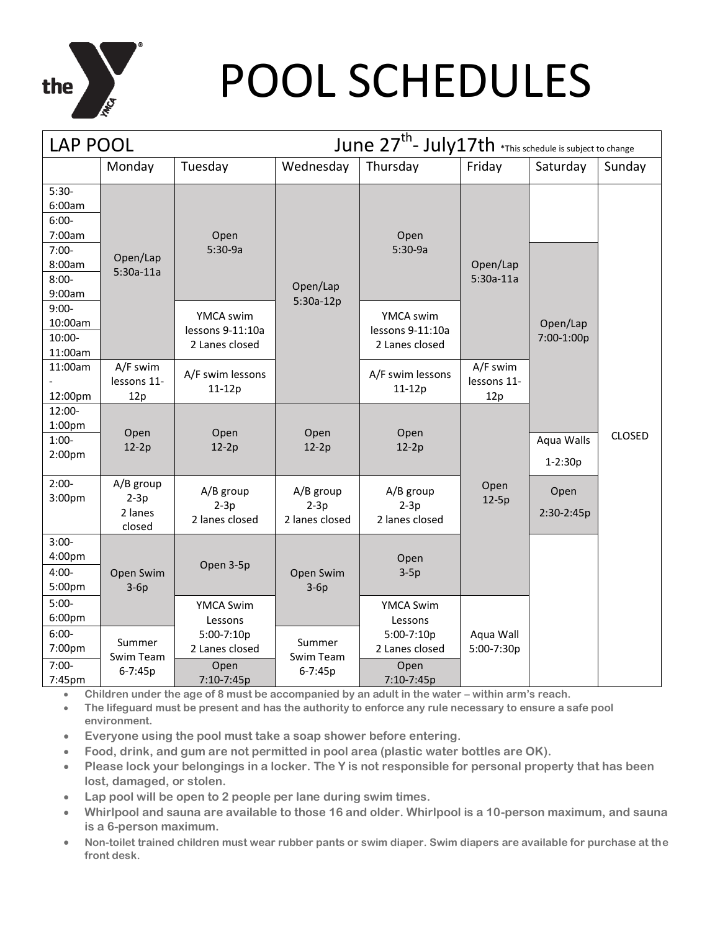

| <b>LAP POOL</b>                                               |                                          |                                                 |                                       | June 27 <sup>th</sup> - July17th *This schedule is subject to change |                                |                           |               |
|---------------------------------------------------------------|------------------------------------------|-------------------------------------------------|---------------------------------------|----------------------------------------------------------------------|--------------------------------|---------------------------|---------------|
|                                                               | Monday                                   | Tuesday                                         | Wednesday                             | Thursday                                                             | Friday                         | Saturday                  | Sunday        |
| $5:30-$<br>6:00am<br>$6:00-$<br>7:00am<br>$7:00-$<br>8:00am   | Open/Lap<br>$5:30a-11a$                  | Open<br>$5:30-9a$                               |                                       | Open<br>$5:30-9a$                                                    | Open/Lap                       |                           |               |
| $8:00 -$<br>9:00am                                            |                                          |                                                 | Open/Lap<br>$5:30a-12p$               |                                                                      | $5:30a-11a$                    |                           |               |
| $9:00-$<br>10:00am<br>10:00-<br>11:00am                       |                                          | YMCA swim<br>lessons 9-11:10a<br>2 Lanes closed |                                       | YMCA swim<br>lessons 9-11:10a<br>2 Lanes closed                      |                                | Open/Lap<br>7:00-1:00p    |               |
| 11:00am<br>12:00pm                                            | A/F swim<br>lessons 11-<br>12p           | A/F swim lessons<br>$11-12p$                    |                                       | A/F swim lessons<br>$11-12p$                                         | A/F swim<br>lessons 11-<br>12p |                           |               |
| 12:00-<br>1:00 <sub>pm</sub><br>$1:00-$<br>2:00 <sub>pm</sub> | Open<br>$12-2p$                          | Open<br>$12-2p$                                 | Open<br>$12-2p$                       | Open<br>$12-2p$                                                      |                                | Aqua Walls<br>$1 - 2:30p$ | <b>CLOSED</b> |
| $2:00-$<br>3:00 <sub>pm</sub>                                 | A/B group<br>$2-3p$<br>2 lanes<br>closed | A/B group<br>$2-3p$<br>2 lanes closed           | A/B group<br>$2-3p$<br>2 lanes closed | A/B group<br>$2-3p$<br>2 lanes closed                                | Open<br>$12-5p$                | Open<br>2:30-2:45p        |               |
| $3:00-$<br>4:00pm<br>$4:00 -$<br>5:00pm                       | Open Swim<br>$3-6p$                      | Open 3-5p                                       | Open Swim<br>$3-6p$                   | Open<br>$3-5p$                                                       |                                |                           |               |
| $5:00-$<br>6:00pm                                             |                                          | <b>YMCA Swim</b><br>Lessons                     |                                       | <b>YMCA Swim</b><br>Lessons                                          |                                |                           |               |
| $6:00-$<br>7:00pm                                             | Summer<br>Swim Team                      | 5:00-7:10p<br>2 Lanes closed                    | Summer<br>Swim Team                   | 5:00-7:10p<br>2 Lanes closed                                         | Aqua Wall<br>5:00-7:30p        |                           |               |
| $7:00-$<br>7:45pm                                             | 6-7:45p                                  | Open<br>7:10-7:45p                              | 6-7:45p                               | Open<br>7:10-7:45p                                                   |                                |                           |               |

• **Children under the age of 8 must be accompanied by an adult in the water – within arm's reach.**

• **The lifeguard must be present and has the authority to enforce any rule necessary to ensure a safe pool environment.**

- **Everyone using the pool must take a soap shower before entering.**
- **Food, drink, and gum are not permitted in pool area (plastic water bottles are OK).**
- **Please lock your belongings in a locker. The Y is not responsible for personal property that has been lost, damaged, or stolen.**
- **Lap pool will be open to 2 people per lane during swim times.**
- **Whirlpool and sauna are available to those 16 and older. Whirlpool is a 10-person maximum, and sauna is a 6-person maximum.**
- **Non-toilet trained children must wear rubber pants or swim diaper. Swim diapers are available for purchase at the front desk.**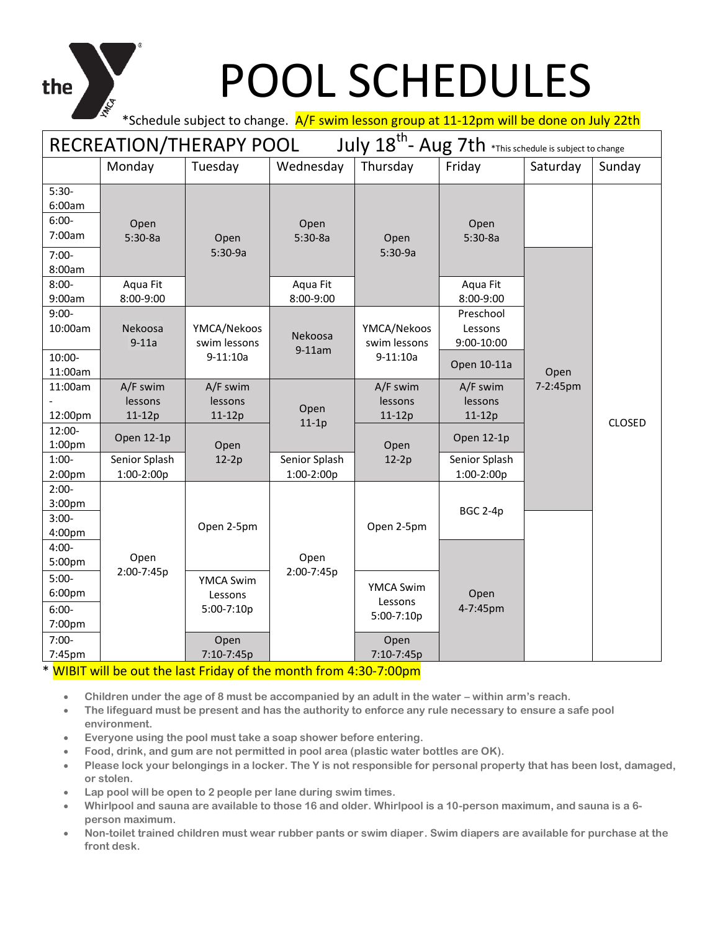the

#### \*Schedule subject to change. A/F swim lesson group at 11-12pm will be done on July 22th

| July 18 <sup>th</sup> - Aug 7th *This schedule is subject to change<br>RECREATION/THERAPY POOL |                                                  |                                    |                             |                                           |                                    |          |               |  |  |
|------------------------------------------------------------------------------------------------|--------------------------------------------------|------------------------------------|-----------------------------|-------------------------------------------|------------------------------------|----------|---------------|--|--|
|                                                                                                | Monday                                           | Tuesday                            | Wednesday                   | Thursday                                  | Friday                             | Saturday | Sunday        |  |  |
| $5:30-$<br>6:00am<br>$6:00-$<br>7:00am<br>$7:00-$<br>8:00am                                    | Open<br>$5:30-8a$                                | Open<br>$5:30-9a$                  | Open<br>$5:30-8a$           | Open<br>$5:30-9a$                         | Open<br>$5:30-8a$                  |          |               |  |  |
| $8:00 -$<br>9:00am                                                                             | Aqua Fit<br>8:00-9:00                            |                                    | Aqua Fit<br>8:00-9:00       |                                           | Aqua Fit<br>8:00-9:00              |          |               |  |  |
| $9:00-$<br>10:00am                                                                             | Nekoosa<br>$9-11a$                               | YMCA/Nekoos<br>swim lessons        | Nekoosa<br>$9-11am$         | YMCA/Nekoos<br>swim lessons               | Preschool<br>Lessons<br>9:00-10:00 |          |               |  |  |
| $10:00 -$<br>11:00am                                                                           |                                                  | $9-11:10a$                         |                             | $9-11:10a$                                | Open 10-11a                        | Open     |               |  |  |
| 11:00am<br>12:00pm                                                                             | A/F swim<br>lessons<br>$11-12p$                  | A/F swim<br>lessons<br>11-12p      | Open                        | A/F swim<br>lessons<br>11-12p             | A/F swim<br>lessons<br>11-12p      | 7-2:45pm |               |  |  |
| 12:00-<br>1:00pm                                                                               | Open 12-1p                                       | Open                               | $11-1p$                     | Open                                      | Open 12-1p                         |          | <b>CLOSED</b> |  |  |
| $1:00-$<br>2:00 <sub>pm</sub>                                                                  | Senior Splash<br>1:00-2:00p                      | $12-2p$                            | Senior Splash<br>1:00-2:00p | $12-2p$                                   | Senior Splash<br>1:00-2:00p        |          |               |  |  |
| $2:00-$<br>3:00pm<br>$3:00-$<br>4:00pm                                                         |                                                  | Open 2-5pm                         |                             | Open 2-5pm                                | <b>BGC 2-4p</b>                    |          |               |  |  |
| $4:00 -$<br>5:00pm                                                                             | Open                                             |                                    | Open                        |                                           |                                    |          |               |  |  |
| $5:00-$<br>6:00pm<br>$6:00-$<br>7:00pm                                                         | 2:00-7:45p                                       | YMCA Swim<br>Lessons<br>5:00-7:10p | 2:00-7:45p                  | <b>YMCA Swim</b><br>Lessons<br>5:00-7:10p | Open<br>4-7:45pm                   |          |               |  |  |
| $7:00-$<br>7:45pm                                                                              | <b>SALE</b><br><b>Contract Contract Contract</b> | Open<br>7:10-7:45p                 | <b>Contract Contract</b>    | Open<br>7:10-7:45p                        |                                    |          |               |  |  |

#### WIBIT will be out the last Friday of the month from 4:30-7:00pm

- **Children under the age of 8 must be accompanied by an adult in the water – within arm's reach.**
- **The lifeguard must be present and has the authority to enforce any rule necessary to ensure a safe pool environment.**
- **Everyone using the pool must take a soap shower before entering.**
- **Food, drink, and gum are not permitted in pool area (plastic water bottles are OK).**
- **Please lock your belongings in a locker. The Y is not responsible for personal property that has been lost, damaged, or stolen.**
- **Lap pool will be open to 2 people per lane during swim times.**
- **Whirlpool and sauna are available to those 16 and older. Whirlpool is a 10-person maximum, and sauna is a 6 person maximum.**
- **Non-toilet trained children must wear rubber pants or swim diaper. Swim diapers are available for purchase at the front desk.**